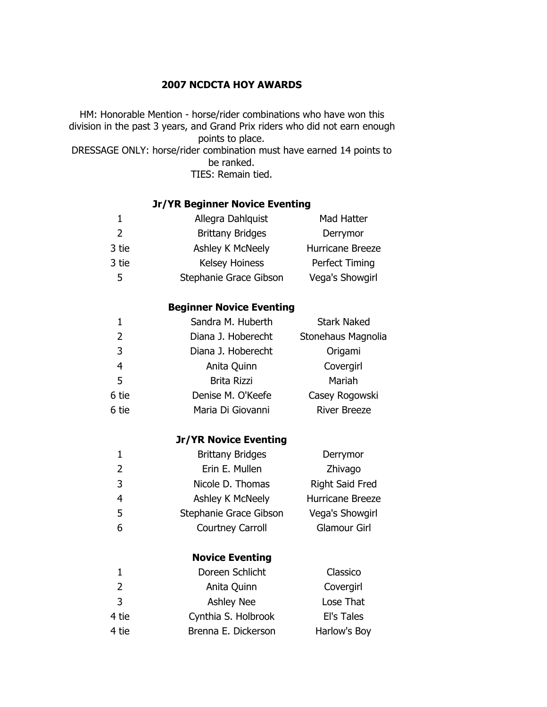## **NCDCTA HOY AWARDS**

HM: Honorable Mention - horse/rider combinations who have won this division in the past 3 years, and Grand Prix riders who did not earn enough points to place. DRESSAGE ONLY: horse/rider combination must have earned 14 points to be ranked. TIES: Remain tied.

## **Jr/YR Beginner Novice Eventing**

| $\mathbf 1$    | Allegra Dahlquist               | Mad Hatter          |
|----------------|---------------------------------|---------------------|
| $\overline{2}$ | <b>Brittany Bridges</b>         | Derrymor            |
| 3 tie          | Ashley K McNeely                | Hurricane Breeze    |
| 3 tie          | Kelsey Hoiness                  | Perfect Timing      |
| 5              | Stephanie Grace Gibson          | Vega's Showgirl     |
|                | <b>Beginner Novice Eventing</b> |                     |
| $\mathbf 1$    | Sandra M. Huberth               | <b>Stark Naked</b>  |
| 2              | Diana J. Hoberecht              | Stonehaus Magnolia  |
| 3              | Diana J. Hoberecht              | Origami             |
| $\overline{4}$ | Anita Quinn                     | Covergirl           |
| 5              | <b>Brita Rizzi</b>              | Mariah              |
| 6 tie          | Denise M. O'Keefe               | Casey Rogowski      |
| 6 tie          | Maria Di Giovanni               | <b>River Breeze</b> |
|                | <b>Jr/YR Novice Eventing</b>    |                     |
| $\mathbf 1$    | <b>Brittany Bridges</b>         | Derrymor            |
| $\overline{2}$ | Erin E. Mullen                  | Zhivago             |
| 3              | Nicole D. Thomas                | Right Said Fred     |
| $\overline{4}$ | Ashley K McNeely                | Hurricane Breeze    |
| 5              | Stephanie Grace Gibson          | Vega's Showgirl     |
| 6              | <b>Courtney Carroll</b>         | <b>Glamour Girl</b> |
|                | <b>Novice Eventing</b>          |                     |
| $\mathbf{1}$   | Doreen Schlicht                 | Classico            |
| 2              | Anita Quinn                     | Covergirl           |
| 3              | <b>Ashley Nee</b>               | Lose That           |
| 4 tie          | Cynthia S. Holbrook             | El's Tales          |
| 4 tie          | Brenna E. Dickerson             | Harlow's Boy        |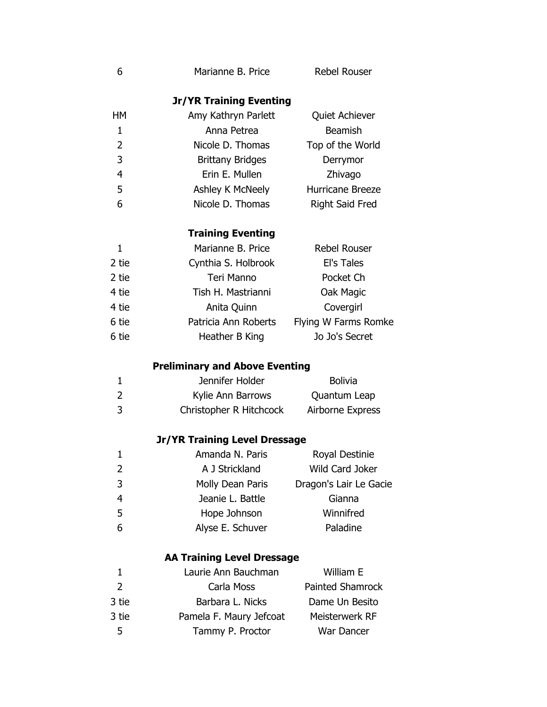| 6            | Marianne B. Price                     | <b>Rebel Rouser</b>     |  |
|--------------|---------------------------------------|-------------------------|--|
|              | <b>Jr/YR Training Eventing</b>        |                         |  |
| HМ           | Amy Kathryn Parlett                   | Quiet Achiever          |  |
| 1            | Anna Petrea                           | <b>Beamish</b>          |  |
| 2            | Nicole D. Thomas                      | Top of the World        |  |
| 3            | <b>Brittany Bridges</b>               | Derrymor                |  |
| 4            | Erin E. Mullen                        | Zhivago                 |  |
| 5            | Ashley K McNeely                      | Hurricane Breeze        |  |
| 6            | Nicole D. Thomas                      | <b>Right Said Fred</b>  |  |
|              | <b>Training Eventing</b>              |                         |  |
| $\mathbf{1}$ | Marianne B. Price                     | <b>Rebel Rouser</b>     |  |
| 2 tie        | Cynthia S. Holbrook                   | El's Tales              |  |
| 2 tie        | <b>Teri Manno</b>                     | Pocket Ch               |  |
| 4 tie        | Tish H. Mastrianni                    | Oak Magic               |  |
| 4 tie        | Anita Quinn                           | Covergirl               |  |
| 6 tie        | Patricia Ann Roberts                  | Flying W Farms Romke    |  |
| 6 tie        | Heather B King                        | Jo Jo's Secret          |  |
|              | <b>Preliminary and Above Eventing</b> |                         |  |
| 1            | Jennifer Holder                       | <b>Bolivia</b>          |  |
| 2            | Kylie Ann Barrows                     | Quantum Leap            |  |
| 3            | Christopher R Hitchcock               | Airborne Express        |  |
|              | <b>Jr/YR Training Level Dressage</b>  |                         |  |
| $\mathbf{1}$ | Amanda N. Paris                       | Royal Destinie          |  |
| 2            | A J Strickland                        | <b>Wild Card Joker</b>  |  |
| 3            | Molly Dean Paris                      | Dragon's Lair Le Gacie  |  |
| 4            | Jeanie L. Battle                      | Gianna                  |  |
| 5            | Hope Johnson                          | Winnifred               |  |
| 6            | Alyse E. Schuver                      | Paladine                |  |
|              | <b>AA Training Level Dressage</b>     |                         |  |
| 1            | Laurie Ann Bauchman                   | William E               |  |
| 2            | Carla Moss                            | <b>Painted Shamrock</b> |  |
| 3 tie        | Barbara L. Nicks                      | Dame Un Besito          |  |
| 3 tie        | Pamela F. Maury Jefcoat               | Meisterwerk RF          |  |
| 5            | Tammy P. Proctor                      | War Dancer              |  |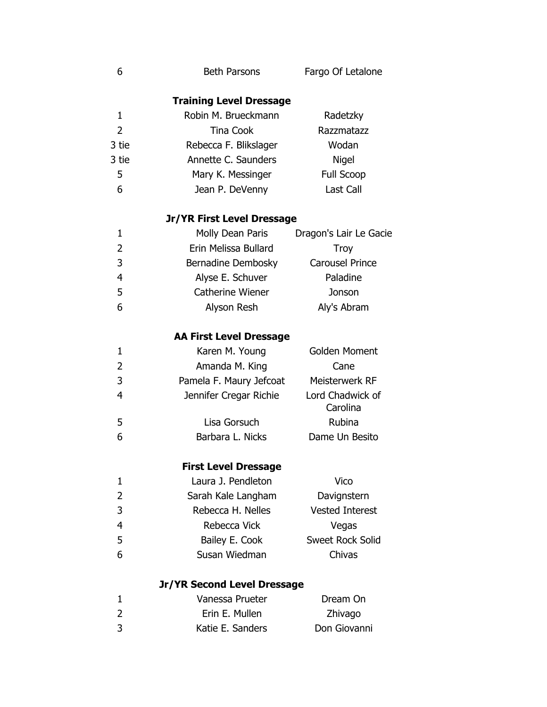| 6              | <b>Beth Parsons</b>            | Fargo Of Letalone            |
|----------------|--------------------------------|------------------------------|
|                | <b>Training Level Dressage</b> |                              |
| $\mathbf{1}$   | Robin M. Brueckmann            | Radetzky                     |
| $\overline{2}$ | <b>Tina Cook</b>               | Razzmatazz                   |
| 3 tie          | Rebecca F. Blikslager          | Wodan                        |
| 3 tie          | Annette C. Saunders            | <b>Nigel</b>                 |
| 5              | Mary K. Messinger              | Full Scoop                   |
| 6              | Jean P. DeVenny                | Last Call                    |
|                | Jr/YR First Level Dressage     |                              |
| $\mathbf{1}$   | Molly Dean Paris               | Dragon's Lair Le Gacie       |
| 2              | Erin Melissa Bullard           | <b>Troy</b>                  |
| 3              | Bernadine Dembosky             | <b>Carousel Prince</b>       |
| $\overline{4}$ | Alyse E. Schuver               | Paladine                     |
| 5              | Catherine Wiener               | Jonson                       |
| 6              | Alyson Resh                    | Aly's Abram                  |
|                | <b>AA First Level Dressage</b> |                              |
| 1              | Karen M. Young                 | Golden Moment                |
| 2              | Amanda M. King                 | Cane                         |
| 3              | Pamela F. Maury Jefcoat        | Meisterwerk RF               |
| $\overline{4}$ | Jennifer Cregar Richie         | Lord Chadwick of<br>Carolina |
| 5              | Lisa Gorsuch                   | <b>Rubina</b>                |
| 6              | Barbara L. Nicks               | Dame Un Besito               |
|                | <b>First Level Dressage</b>    |                              |
| 1              | Laura J. Pendleton             | Vico                         |
| 2              | Sarah Kale Langham             | Davignstern                  |
| 3              | Rebecca H. Nelles              | <b>Vested Interest</b>       |
| 4              | Rebecca Vick                   | Vegas                        |
| 5              | Bailey E. Cook                 | Sweet Rock Solid             |
| 6              | Susan Wiedman                  | Chivas                       |
|                | Jr/YR Second Level Dressage    |                              |
| 1              | Vanessa Prueter                | Dream On                     |
| 2              | Erin E. Mullen                 | Zhivago                      |
| 3              | Katie E. Sanders               | Don Giovanni                 |
|                |                                |                              |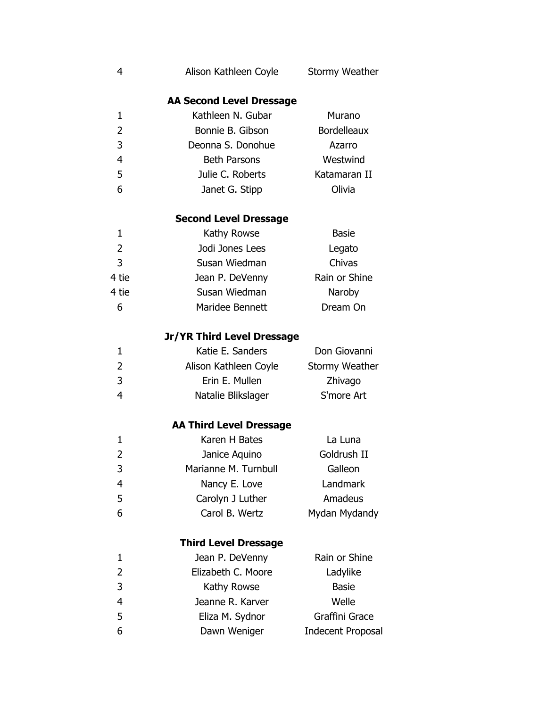| 4            | Alison Kathleen Coyle             | <b>Stormy Weather</b>    |
|--------------|-----------------------------------|--------------------------|
|              | <b>AA Second Level Dressage</b>   |                          |
| 1            | Kathleen N. Gubar                 | Murano                   |
| 2            | Bonnie B. Gibson                  | <b>Bordelleaux</b>       |
| 3            | Deonna S. Donohue                 | Azarro                   |
| 4            | <b>Beth Parsons</b>               | Westwind                 |
| 5            | Julie C. Roberts                  | Katamaran II             |
| 6            | Janet G. Stipp                    | Olivia                   |
|              | <b>Second Level Dressage</b>      |                          |
| 1            | Kathy Rowse                       | <b>Basie</b>             |
| 2            | Jodi Jones Lees                   | Legato                   |
| 3            | Susan Wiedman                     | Chivas                   |
| 4 tie        | Jean P. DeVenny                   | Rain or Shine            |
| 4 tie        | Susan Wiedman                     | Naroby                   |
| 6            | Maridee Bennett                   | Dream On                 |
|              | <b>Jr/YR Third Level Dressage</b> |                          |
| 1            | Katie E. Sanders                  | Don Giovanni             |
| 2            | Alison Kathleen Coyle             | <b>Stormy Weather</b>    |
| 3            | Erin E. Mullen                    | Zhivago                  |
| 4            | Natalie Blikslager                | S'more Art               |
|              | <b>AA Third Level Dressage</b>    |                          |
| $\mathbf{1}$ | Karen H Bates                     | La Luna                  |
| 2            | Janice Aquino                     | Goldrush II              |
| 3            | Marianne M. Turnbull              | Galleon                  |
| 4            | Nancy E. Love                     | Landmark                 |
| 5            | Carolyn J Luther                  | Amadeus                  |
| 6            | Carol B. Wertz                    | Mydan Mydandy            |
|              | <b>Third Level Dressage</b>       |                          |
| 1            | Jean P. DeVenny                   | Rain or Shine            |
| 2            | Elizabeth C. Moore                | Ladylike                 |
| 3            | Kathy Rowse                       | <b>Basie</b>             |
| 4            | Jeanne R. Karver                  | Welle                    |
| 5            | Eliza M. Sydnor                   | Graffini Grace           |
| 6            | Dawn Weniger                      | <b>Indecent Proposal</b> |
|              |                                   |                          |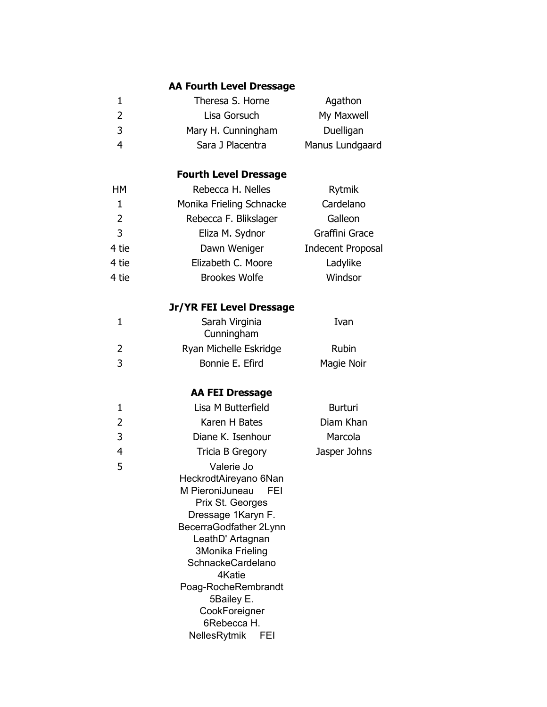|                | <b>AA Fourth Level Dressage</b>        |                          |
|----------------|----------------------------------------|--------------------------|
| 1              | Theresa S. Horne                       | Agathon                  |
| 2              | Lisa Gorsuch                           | My Maxwell               |
| 3              | Mary H. Cunningham                     | Duelligan                |
| $\overline{4}$ | Sara J Placentra                       | Manus Lundgaard          |
|                | <b>Fourth Level Dressage</b>           |                          |
| HМ             | Rebecca H. Nelles                      | Rytmik                   |
| $\mathbf{1}$   | Monika Frieling Schnacke               | Cardelano                |
| 2              | Rebecca F. Blikslager                  | Galleon                  |
| 3              | Eliza M. Sydnor                        | Graffini Grace           |
| 4 tie          | Dawn Weniger                           | <b>Indecent Proposal</b> |
| 4 tie          | Elizabeth C. Moore                     | Ladylike                 |
| 4 tie          | <b>Brookes Wolfe</b>                   | Windsor                  |
|                | Jr/YR FEI Level Dressage               |                          |
| $\mathbf 1$    | Sarah Virginia<br>Cunningham           | Ivan                     |
| 2              | Ryan Michelle Eskridge                 | <b>Rubin</b>             |
| 3              | Bonnie E. Efird                        | Magie Noir               |
|                | <b>AA FEI Dressage</b>                 |                          |
| 1              | Lisa M Butterfield                     | <b>Burturi</b>           |
| 2              | Karen H Bates                          | Diam Khan                |
| 3              | Diane K. Isenhour                      | Marcola                  |
| 4              | Tricia B Gregory                       | Jasper Johns             |
| 5              | Valerie Jo                             |                          |
|                | HeckrodtAireyano 6Nan                  |                          |
|                | M PieroniJuneau<br>FEI                 |                          |
|                | Prix St. Georges<br>Dressage 1Karyn F. |                          |
|                | BecerraGodfather 2Lynn                 |                          |
|                | LeathD' Artagnan                       |                          |
|                | 3Monika Frieling                       |                          |
|                | SchnackeCardelano<br>4Katie            |                          |
|                | Poag-RocheRembrandt                    |                          |
|                | 5Bailey E.                             |                          |
|                | CookForeigner                          |                          |
|                | 6Rebecca H.                            |                          |
|                | NellesRytmik<br>FEI                    |                          |